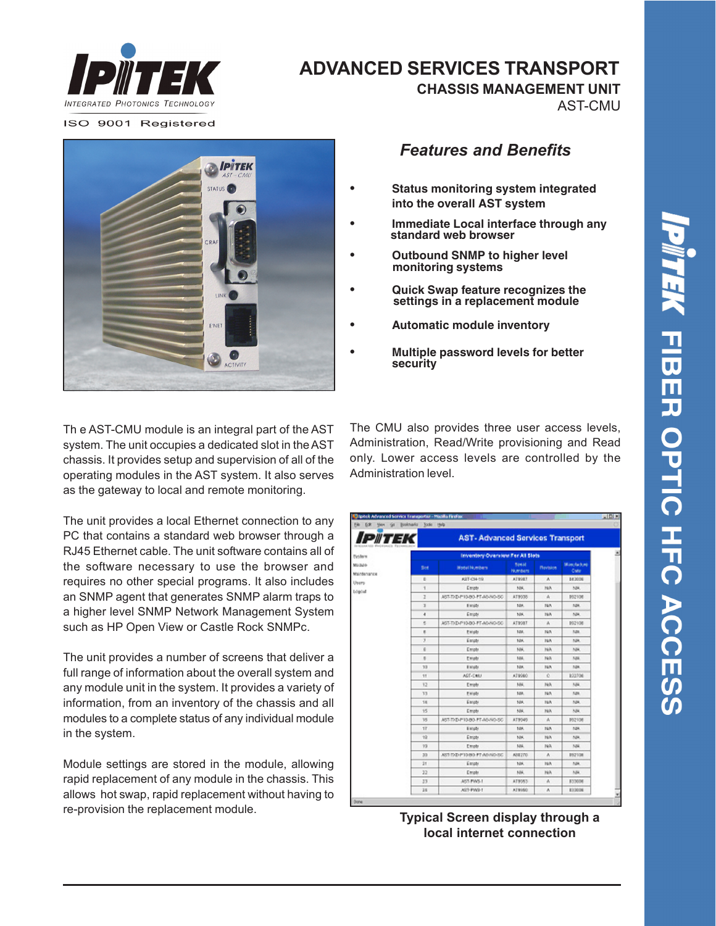

## **ADVANCED SERVICES TRANSPORT**

**CHASSIS MANAGEMENT UNIT**

AST-CMU

ISO 9001 Registered



Th e AST-CMU module is an integral part of the AST system. The unit occupies a dedicated slot in the AST chassis. It provides setup and supervision of all of the operating modules in the AST system. It also serves as the gateway to local and remote monitoring.

The unit provides a local Ethernet connection to any PC that contains a standard web browser through a RJ45 Ethernet cable. The unit software contains all of the software necessary to use the browser and requires no other special programs. It also includes an SNMP agent that generates SNMP alarm traps to a higher level SNMP Network Management System such as HP Open View or Castle Rock SNMPc.

The unit provides a number of screens that deliver a full range of information about the overall system and any module unit in the system. It provides a variety of information, from an inventory of the chassis and all modules to a complete status of any individual module in the system.

Module settings are stored in the module, allowing rapid replacement of any module in the chassis. This allows hot swap, rapid replacement without having to re-provision the replacement module.

*Features and Benefits*

- **• Status monitoring system integrated into the overall AST system**
- **• Immediate Local interface through any standard web browser**
- **• Outbound SNMP to higher level monitoring systems**
- **• Quick Swap feature recognizes the settings in a replacement module**
- **• Automatic module inventory**
- **• Multiple password levels for better security**

The CMU also provides three user access levels, Administration, Read/Write provisioning and Read only. Lower access levels are controlled by the Administration level.

| <i>IPIITEK</i> |                                  |                                  |                 | AST-Advanced Services Transport |  |
|----------------|----------------------------------|----------------------------------|-----------------|---------------------------------|--|
|                | Inventory Overview For All Slots |                                  |                 |                                 |  |
| Skyt           | Wodel Numbers                    | <b>Bestall</b><br><b>Numbers</b> | <b>Mavision</b> | Minchach.mj<br>Cute             |  |
| b              | KIT-CH-19                        | <b>ATWALT</b>                    | ٨               | <b>B43006</b>                   |  |
| 1              | Empty                            | NK                               | NA              | MH.                             |  |
| z              | AST-TIQ-P10-80-PT-A0-NO-50       | AT 9008                          | A               | <b>IN2108</b>                   |  |
| ä              | Elinida                          | NH.                              | NA              | <b>MA</b>                       |  |
| ۰              | Empty                            | NK                               | 1974            | NH.                             |  |
| s              | AST-TI/D-P10-BO-PT-AO-NO-SC      | ATWORT                           | ٨               | 892108                          |  |
| ×              | Emate                            | 1gil.                            | NA              | <b>Mill</b>                     |  |
| x              | Einiger                          | NH.                              | 16%             | NH.                             |  |
| ×              | Empty                            | NK.                              | NA              | NH.                             |  |
| ×              | Ematr                            | <b>MAL</b>                       | NA              | Agu.                            |  |
| 13             | Elington                         | 10K                              | NA              | <b>NBK</b>                      |  |
| 11             | AGT-CMU                          | AT 8980                          | ċ               | 822706                          |  |
| 12             | Emate                            | NM.                              | NA              | NH                              |  |
| <b>T3</b>      | Entable                          | 10K                              | NA              | <b>Age</b>                      |  |
| 18             | Einight                          | NH.                              | NA              | 524                             |  |
| 15             | Empty                            | NH,                              | NA              | NH.                             |  |
| 15             | AST-TXD-P10-80-PT-AO-WD-SC       | ATB040                           | ٨               | <b>IN2108</b>                   |  |
| 1F             | Elingty                          | NK                               | NA              | <b>NBK</b>                      |  |
| $+2$           | Empty                            | NH.                              | NA              | NH.                             |  |
| 19             | Empty                            | NM.                              | NA              | NH                              |  |
| 33             | AST DID P10/80 FT AS NO SC       | AREZTO                           | ٨               | <b>BS2108</b>                   |  |
| 31             | Empty                            | NK.                              | NA              | NH.                             |  |
| 32             | Empty                            | NH.                              | NA              | MH.                             |  |
| 33             | AST-PWS-1                        | AT9053                           | ٨               | 833008                          |  |
| 11             | AST-PWI-1                        | <b>ATWARD</b>                    | ٨               | E1300N                          |  |

**Typical Screen display through a local internet connection**